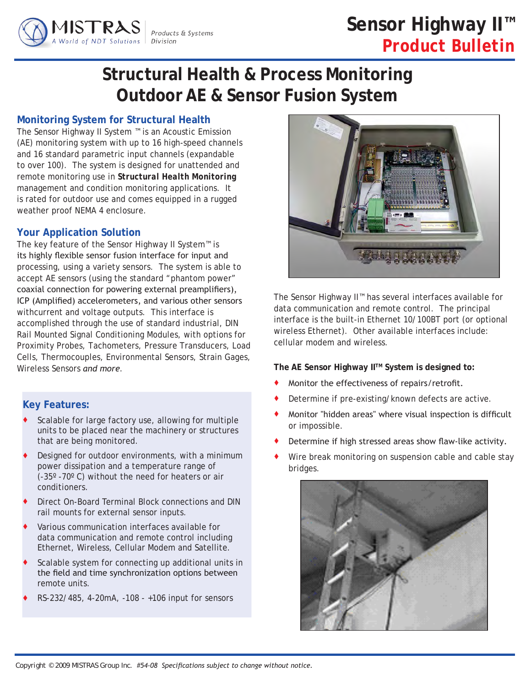

# **Sensor Highway II™** *Product Bulletin*

# **Structural Health & Process Monitoring Outdoor AE & Sensor Fusion System**

# **Monitoring System for Structural Health**

The Sensor Highway II System ™ is an Acoustic Emission (AE) monitoring system with up to 16 high-speed channels and 16 standard parametric input channels (expandable to over 100). The system is designed for unattended and remote monitoring use in *Structural Health Monitoring*  management and condition monitoring applications. It is rated for outdoor use and comes equipped in a rugged weather proof NEMA 4 enclosure.

# **Your Application Solution**

The key feature of the Sensor Highway II System™ is its highly flexible sensor fusion interface for input and processing, using a variety sensors. The system is able to accept AE sensors (using the standard "phantom power" coaxial connection for powering external preamplifiers), ICP (Amplified) accelerometers, and various other sensors withcurrent and voltage outputs. This interface is accomplished through the use of standard industrial, DIN Rail Mounted Signal Conditioning Modules, with options for Proximity Probes, Tachometers, Pressure Transducers, Load Cells, Thermocouples, Environmental Sensors, Strain Gages, Wireless Sensors *and more*.

# **Key Features:**

- Scalable for large factory use, allowing for multiple units to be placed near the machinery or structures that are being monitored.
- Designed for outdoor environments, with a minimum power dissipation and a temperature range of (-35º -70º C) without the need for heaters or air conditioners.
- Direct On-Board Terminal Block connections and DIN rail mounts for external sensor inputs.
- Various communication interfaces available for data communication and remote control including Ethernet, Wireless, Cellular Modem and Satellite.
- Scalable system for connecting up additional units in the field and time synchronization options between remote units.
- RS-232/485, 4-20mA, -108 +106 input for sensors



The Sensor Highway II™ has several interfaces available for data communication and remote control. The principal interface is the built-in Ethernet 10/100BT port (or optional wireless Ethernet). Other available interfaces include: cellular modem and wireless.

The AE Sensor Highway II<sup>™</sup> System is designed to:

- Monitor the effectiveness of repairs/retrofit.
- Determine if pre-existing/known defects are active.
- Monitor "hidden areas" where visual inspection is difficult or impossible.
- Determine if high stressed areas show flaw-like activity.
- Wire break monitoring on suspension cable and cable stay bridges.

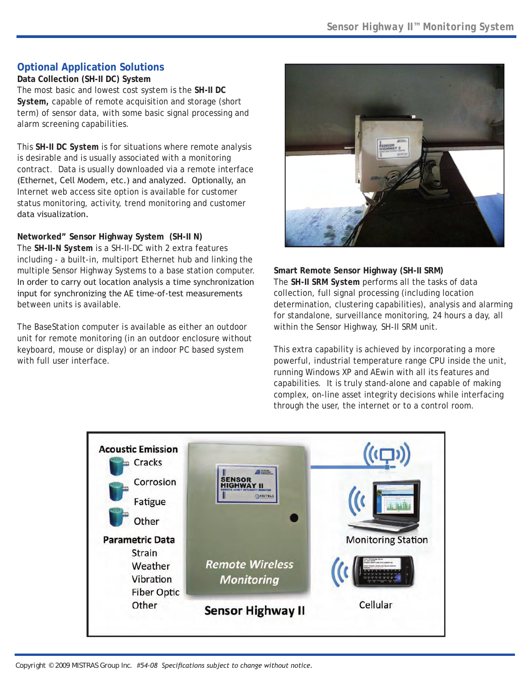# **Optional Application Solutions**

**Data Collection (SH-II DC) System** The most basic and lowest cost system is the *SH-II DC System,* capable of remote acquisition and storage (short term) of sensor data, with some basic signal processing and alarm screening capabilities.

This *SH-II DC System* is for situations where remote analysis is desirable and is usually associated with a monitoring contract. Data is usually downloaded via a remote interface (Ethernet, Cell Modem, etc.) and analyzed. Optionally, an Internet web access site option is available for customer status monitoring, activity, trend monitoring and customer data visualization.

**Networked" Sensor Highway System (SH-II N)**

The *SH-II-N System* is a SH-II-DC with 2 extra features including - a built-in, multiport Ethernet hub and linking the multiple Sensor Highway Systems to a base station computer. In order to carry out location analysis a time synchronization input for synchronizing the AE time-of-test measurements between units is available.

The BaseStation computer is available as either an outdoor unit for remote monitoring (in an outdoor enclosure without keyboard, mouse or display) or an indoor PC based system with full user interface.



**Smart Remote Sensor Highway (SH-II SRM)**  The *SH-II SRM System* performs all the tasks of data collection, full signal processing (including location determination, clustering capabilities), analysis and alarming for standalone, surveillance monitoring, 24 hours a day, all within the Sensor Highway, SH-II SRM unit.

This extra capability is achieved by incorporating a more powerful, industrial temperature range CPU inside the unit, running Windows XP and AEwin with all its features and capabilities. It is truly stand-alone and capable of making complex, on-line asset integrity decisions while interfacing through the user, the internet or to a control room.

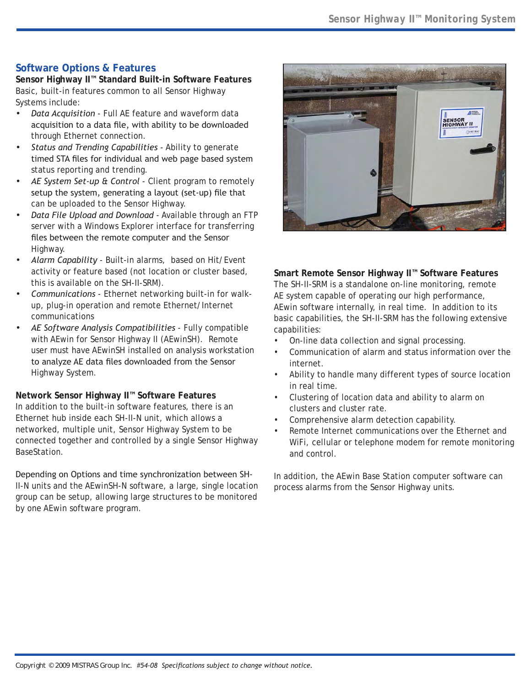# **Software Options & Features**

**Sensor Highway II™ Standard Built-in Software Features** Basic, built-in features common to all Sensor Highway Systems include:

- *Data Acquisition* Full AE feature and waveform data *•* acquisition to a data file, with ability to be downloaded through Ethernet connection.
- *Status and Trending Capabilities* Ability to generate timed STA files for individual and web page based system status reporting and trending. *•*
- *AE System Set-up & Control* Client program to remotely *•* setup the system, generating a layout (set-up) file that can be uploaded to the Sensor Highway.
- *Data File Upload and Download* Available through an FTP *•* server with a Windows Explorer interface for transferring files between the remote computer and the Sensor Highway.
- *Alarm Capability* Built-in alarms, based on Hit/Event activity or feature based (not location or cluster based, this is available on the SH-II-SRM). *•*
- *Communications*  Ethernet networking built-in for walkup, plug-in operation and remote Ethernet/Internet communications *•*
- *AE Software Analysis Compatibilities*  Fully compatible with AEwin for Sensor Highway II (AEwinSH). Remote user must have AEwinSH installed on analysis workstation to analyze AE data files downloaded from the Sensor Highway System. *•*

**Network Sensor Highway II™ Software Features** In addition to the built-in software features, there is an Ethernet hub inside each SH-II-N unit, which allows a networked, multiple unit, Sensor Highway System to be connected together and controlled by a single Sensor Highway BaseStation.

Depending on Options and time synchronization between SH-II-N units and the AEwinSH-N software, a large, single location group can be setup, allowing large structures to be monitored by one AEwin software program.



## **Smart Remote Sensor Highway II™ Software Features**

The SH-II-SRM is a standalone on-line monitoring, remote AE system capable of operating our high performance, AEwin software internally, in real time. In addition to its basic capabilities, the SH-II-SRM has the following extensive capabilities:

- On-line data collection and signal processing. •
- Communication of alarm and status information over the internet. •
- Ability to handle many different types of source location in real time. •
- Clustering of location data and ability to alarm on clusters and cluster rate. •
- Comprehensive alarm detection capability. •
- Remote Internet communications over the Ethernet and WiFi, cellular or telephone modem for remote monitoring and control. •

In addition, the AEwin Base Station computer software can process alarms from the Sensor Highway units.